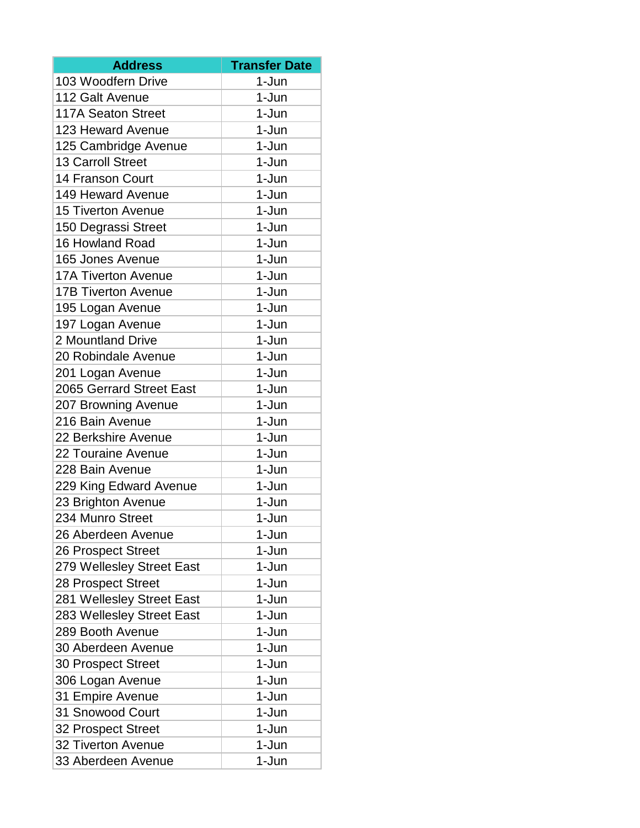| <b>Address</b>             | <b>Transfer Date</b> |
|----------------------------|----------------------|
| 103 Woodfern Drive         | $1-Jun$              |
| 112 Galt Avenue            | 1-Jun                |
| <b>117A Seaton Street</b>  | 1-Jun                |
| 123 Heward Avenue          | 1-Jun                |
| 125 Cambridge Avenue       | 1-Jun                |
| <b>13 Carroll Street</b>   | 1-Jun                |
| 14 Franson Court           | 1-Jun                |
| 149 Heward Avenue          | 1-Jun                |
| <b>15 Tiverton Avenue</b>  | 1-Jun                |
| 150 Degrassi Street        | 1-Jun                |
| 16 Howland Road            | 1-Jun                |
| 165 Jones Avenue           | 1-Jun                |
| <b>17A Tiverton Avenue</b> | 1-Jun                |
| <b>17B Tiverton Avenue</b> | 1-Jun                |
| 195 Logan Avenue           | 1-Jun                |
| 197 Logan Avenue           | 1-Jun                |
| 2 Mountland Drive          | 1-Jun                |
| 20 Robindale Avenue        | 1-Jun                |
| 201 Logan Avenue           | 1-Jun                |
| 2065 Gerrard Street East   | 1-Jun                |
| 207 Browning Avenue        | 1-Jun                |
| 216 Bain Avenue            | 1-Jun                |
| 22 Berkshire Avenue        | 1-Jun                |
| 22 Touraine Avenue         | 1-Jun                |
| 228 Bain Avenue            | 1-Jun                |
| 229 King Edward Avenue     | 1-Jun                |
| 23 Brighton Avenue         | 1-Jun                |
| 234 Munro Street           | 1-Jun                |
| 26 Aberdeen Avenue         | 1-Jun                |
| 26 Prospect Street         | 1-Jun                |
| 279 Wellesley Street East  | 1-Jun                |
| 28 Prospect Street         | 1-Jun                |
| 281 Wellesley Street East  | 1-Jun                |
| 283 Wellesley Street East  | 1-Jun                |
| 289 Booth Avenue           | 1-Jun                |
| 30 Aberdeen Avenue         | 1-Jun                |
| 30 Prospect Street         | 1-Jun                |
| 306 Logan Avenue           | 1-Jun                |
| 31 Empire Avenue           | 1-Jun                |
| 31 Snowood Court           | 1-Jun                |
| 32 Prospect Street         | 1-Jun                |
| <b>32 Tiverton Avenue</b>  | 1-Jun                |
| 33 Aberdeen Avenue         | 1-Jun                |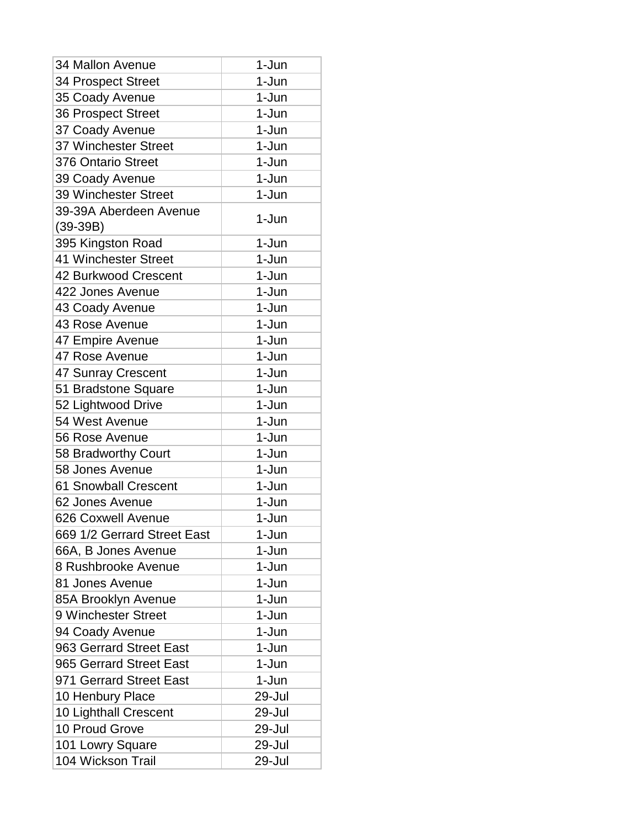| <b>34 Mallon Avenue</b>              | 1-Jun   |
|--------------------------------------|---------|
| 34 Prospect Street                   | 1-Jun   |
| 35 Coady Avenue                      | 1-Jun   |
| 36 Prospect Street                   | 1-Jun   |
| 37 Coady Avenue                      | 1-Jun   |
| 37 Winchester Street                 | 1-Jun   |
| 376 Ontario Street                   | 1-Jun   |
| 39 Coady Avenue                      | 1-Jun   |
| 39 Winchester Street                 | 1-Jun   |
| 39-39A Aberdeen Avenue<br>$(39-39B)$ | 1-Jun   |
| 395 Kingston Road                    | 1-Jun   |
| 41 Winchester Street                 | 1-Jun   |
| 42 Burkwood Crescent                 | 1-Jun   |
| 422 Jones Avenue                     | 1-Jun   |
| 43 Coady Avenue                      | 1-Jun   |
| 43 Rose Avenue                       | 1-Jun   |
| 47 Empire Avenue                     | 1-Jun   |
| 47 Rose Avenue                       | $1-Jun$ |
| 47 Sunray Crescent                   | 1-Jun   |
| 51 Bradstone Square                  | 1-Jun   |
| 52 Lightwood Drive                   | 1-Jun   |
| 54 West Avenue                       | 1-Jun   |
| 56 Rose Avenue                       | 1-Jun   |
| 58 Bradworthy Court                  | 1-Jun   |
| 58 Jones Avenue                      | 1-Jun   |
| <b>61 Snowball Crescent</b>          | 1-Jun   |
| 62 Jones Avenue                      | 1-Jun   |
| 626 Coxwell Avenue                   | 1-Jun   |
| 669 1/2 Gerrard Street East          | 1-Jun   |
| 66A, B Jones Avenue                  | 1-Jun   |
| 8 Rushbrooke Avenue                  | 1-Jun   |
| 81 Jones Avenue                      | 1-Jun   |
| 85A Brooklyn Avenue                  | 1-Jun   |
| 9 Winchester Street                  | 1-Jun   |
| 94 Coady Avenue                      | 1-Jun   |
| 963 Gerrard Street East              | 1-Jun   |
| 965 Gerrard Street East              | 1-Jun   |
| 971 Gerrard Street East              | 1-Jun   |
| 10 Henbury Place                     | 29-Jul  |
| 10 Lighthall Crescent                | 29-Jul  |
| 10 Proud Grove                       | 29-Jul  |
| 101 Lowry Square                     | 29-Jul  |
| 104 Wickson Trail                    | 29-Jul  |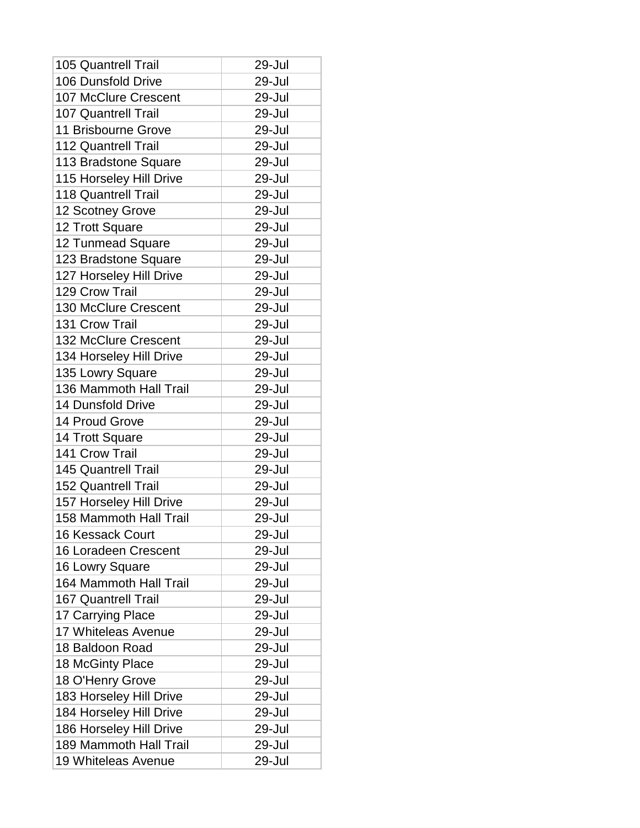| <b>105 Quantrell Trail</b>  | 29-Jul |
|-----------------------------|--------|
| 106 Dunsfold Drive          | 29-Jul |
| 107 McClure Crescent        | 29-Jul |
| <b>107 Quantrell Trail</b>  | 29-Jul |
| 11 Brisbourne Grove         | 29-Jul |
| <b>112 Quantrell Trail</b>  | 29-Jul |
| 113 Bradstone Square        | 29-Jul |
| 115 Horseley Hill Drive     | 29-Jul |
| <b>118 Quantrell Trail</b>  | 29-Jul |
| 12 Scotney Grove            | 29-Jul |
| 12 Trott Square             | 29-Jul |
| 12 Tunmead Square           | 29-Jul |
| 123 Bradstone Square        | 29-Jul |
| 127 Horseley Hill Drive     | 29-Jul |
| 129 Crow Trail              | 29-Jul |
| 130 McClure Crescent        | 29-Jul |
| 131 Crow Trail              | 29-Jul |
| 132 McClure Crescent        | 29-Jul |
| 134 Horseley Hill Drive     | 29-Jul |
| 135 Lowry Square            | 29-Jul |
| 136 Mammoth Hall Trail      | 29-Jul |
| <b>14 Dunsfold Drive</b>    | 29-Jul |
| 14 Proud Grove              | 29-Jul |
| 14 Trott Square             | 29-Jul |
| 141 Crow Trail              | 29-Jul |
| 145 Quantrell Trail         | 29-Jul |
| <b>152 Quantrell Trail</b>  | 29-Jul |
| 157 Horseley Hill Drive     | 29-Jul |
| 158 Mammoth Hall Trail      | 29-Jul |
| <b>16 Kessack Court</b>     | 29-Jul |
| <b>16 Loradeen Crescent</b> | 29-Jul |
| 16 Lowry Square             | 29-Jul |
| 164 Mammoth Hall Trail      | 29-Jul |
| <b>167 Quantrell Trail</b>  | 29-Jul |
| 17 Carrying Place           | 29-Jul |
| 17 Whiteleas Avenue         | 29-Jul |
| 18 Baldoon Road             | 29-Jul |
| 18 McGinty Place            | 29-Jul |
| 18 O'Henry Grove            | 29-Jul |
| 183 Horseley Hill Drive     | 29-Jul |
| 184 Horseley Hill Drive     | 29-Jul |
| 186 Horseley Hill Drive     | 29-Jul |
| 189 Mammoth Hall Trail      | 29-Jul |
| 19 Whiteleas Avenue         | 29-Jul |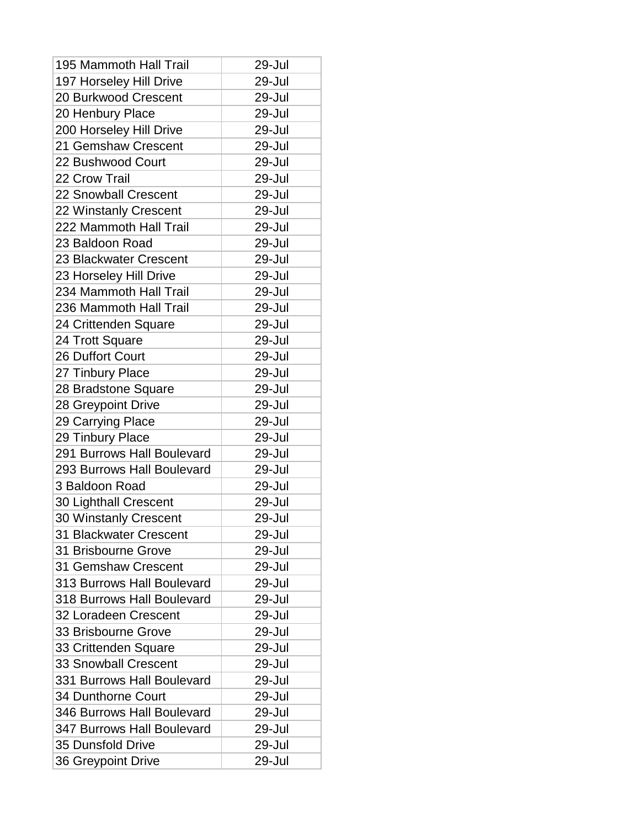| 195 Mammoth Hall Trail      | 29-Jul |
|-----------------------------|--------|
| 197 Horseley Hill Drive     | 29-Jul |
| 20 Burkwood Crescent        | 29-Jul |
| 20 Henbury Place            | 29-Jul |
| 200 Horseley Hill Drive     | 29-Jul |
| 21 Gemshaw Crescent         | 29-Jul |
| 22 Bushwood Court           | 29-Jul |
| 22 Crow Trail               | 29-Jul |
| 22 Snowball Crescent        | 29-Jul |
| 22 Winstanly Crescent       | 29-Jul |
| 222 Mammoth Hall Trail      | 29-Jul |
| 23 Baldoon Road             | 29-Jul |
| 23 Blackwater Crescent      | 29-Jul |
| 23 Horseley Hill Drive      | 29-Jul |
| 234 Mammoth Hall Trail      | 29-Jul |
| 236 Mammoth Hall Trail      | 29-Jul |
| 24 Crittenden Square        | 29-Jul |
| 24 Trott Square             | 29-Jul |
| 26 Duffort Court            | 29-Jul |
| 27 Tinbury Place            | 29-Jul |
| 28 Bradstone Square         | 29-Jul |
| 28 Greypoint Drive          | 29-Jul |
| 29 Carrying Place           | 29-Jul |
| 29 Tinbury Place            | 29-Jul |
| 291 Burrows Hall Boulevard  | 29-Jul |
| 293 Burrows Hall Boulevard  | 29-Jul |
| 3 Baldoon Road              | 29-Jul |
| 30 Lighthall Crescent       | 29-Jul |
| 30 Winstanly Crescent       | 29-Jul |
| 31 Blackwater Crescent      | 29-Jul |
| 31 Brisbourne Grove         | 29-Jul |
| 31 Gemshaw Crescent         | 29-Jul |
| 313 Burrows Hall Boulevard  | 29-Jul |
| 318 Burrows Hall Boulevard  | 29-Jul |
| 32 Loradeen Crescent        | 29-Jul |
| 33 Brisbourne Grove         | 29-Jul |
| 33 Crittenden Square        | 29-Jul |
| <b>33 Snowball Crescent</b> | 29-Jul |
| 331 Burrows Hall Boulevard  | 29-Jul |
| 34 Dunthorne Court          | 29-Jul |
| 346 Burrows Hall Boulevard  | 29-Jul |
| 347 Burrows Hall Boulevard  | 29-Jul |
| <b>35 Dunsfold Drive</b>    | 29-Jul |
| 36 Greypoint Drive          | 29-Jul |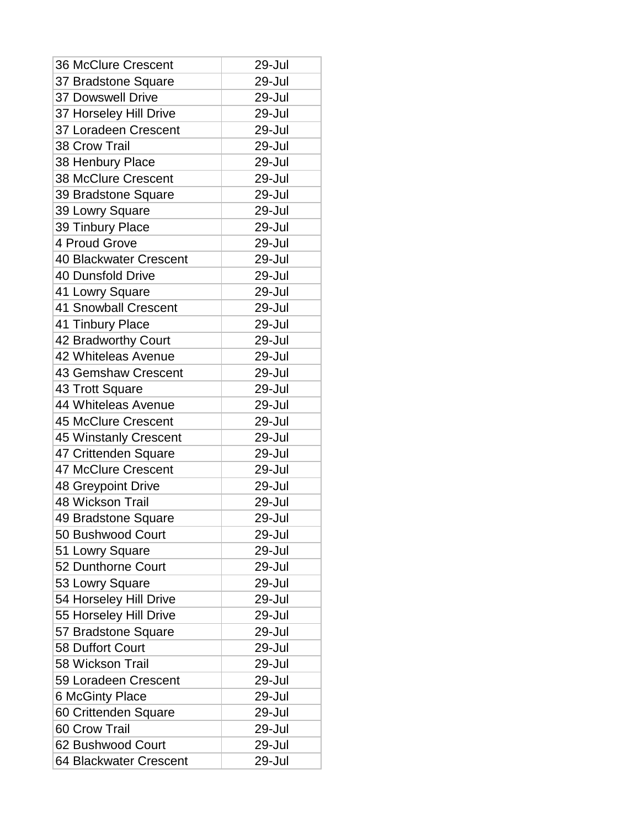| <b>36 McClure Crescent</b>    | 29-Jul |
|-------------------------------|--------|
| 37 Bradstone Square           | 29-Jul |
| <b>37 Dowswell Drive</b>      | 29-Jul |
| 37 Horseley Hill Drive        | 29-Jul |
| 37 Loradeen Crescent          | 29-Jul |
| 38 Crow Trail                 | 29-Jul |
| 38 Henbury Place              | 29-Jul |
| <b>38 McClure Crescent</b>    | 29-Jul |
| 39 Bradstone Square           | 29-Jul |
| 39 Lowry Square               | 29-Jul |
| 39 Tinbury Place              | 29-Jul |
| 4 Proud Grove                 | 29-Jul |
| <b>40 Blackwater Crescent</b> | 29-Jul |
| 40 Dunsfold Drive             | 29-Jul |
| 41 Lowry Square               | 29-Jul |
| <b>41 Snowball Crescent</b>   | 29-Jul |
| 41 Tinbury Place              | 29-Jul |
| 42 Bradworthy Court           | 29-Jul |
| 42 Whiteleas Avenue           | 29-Jul |
| <b>43 Gemshaw Crescent</b>    | 29-Jul |
| 43 Trott Square               | 29-Jul |
| 44 Whiteleas Avenue           | 29-Jul |
| <b>45 McClure Crescent</b>    | 29-Jul |
| 45 Winstanly Crescent         | 29-Jul |
| 47 Crittenden Square          | 29-Jul |
| <b>47 McClure Crescent</b>    | 29-Jul |
| 48 Greypoint Drive            | 29-Jul |
| 48 Wickson Trail              | 29-Jul |
| 49 Bradstone Square           | 29-Jul |
| 50 Bushwood Court             | 29-Jul |
| 51 Lowry Square               | 29-Jul |
| 52 Dunthorne Court            | 29-Jul |
| 53 Lowry Square               | 29-Jul |
| 54 Horseley Hill Drive        | 29-Jul |
| 55 Horseley Hill Drive        | 29-Jul |
| 57 Bradstone Square           | 29-Jul |
| 58 Duffort Court              | 29-Jul |
| 58 Wickson Trail              | 29-Jul |
| 59 Loradeen Crescent          | 29-Jul |
| <b>6 McGinty Place</b>        | 29-Jul |
| 60 Crittenden Square          | 29-Jul |
| 60 Crow Trail                 | 29-Jul |
| 62 Bushwood Court             | 29-Jul |
| 64 Blackwater Crescent        | 29-Jul |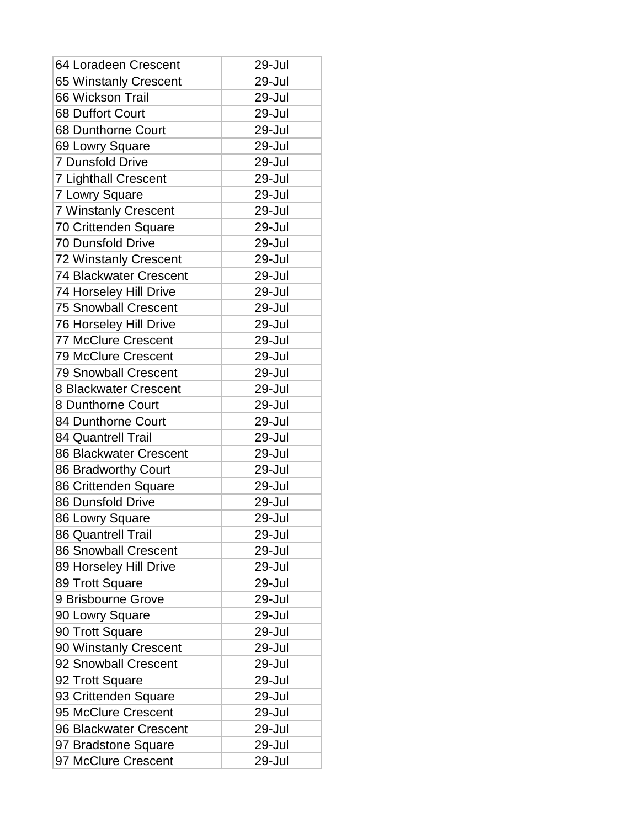| 64 Loradeen Crescent        | 29-Jul |
|-----------------------------|--------|
| 65 Winstanly Crescent       | 29-Jul |
| 66 Wickson Trail            | 29-Jul |
| 68 Duffort Court            | 29-Jul |
| 68 Dunthorne Court          | 29-Jul |
| 69 Lowry Square             | 29-Jul |
| <b>7 Dunsfold Drive</b>     | 29-Jul |
| <b>7 Lighthall Crescent</b> | 29-Jul |
| 7 Lowry Square              | 29-Jul |
| <b>7 Winstanly Crescent</b> | 29-Jul |
| 70 Crittenden Square        | 29-Jul |
| <b>70 Dunsfold Drive</b>    | 29-Jul |
| 72 Winstanly Crescent       | 29-Jul |
| 74 Blackwater Crescent      | 29-Jul |
| 74 Horseley Hill Drive      | 29-Jul |
| <b>75 Snowball Crescent</b> | 29-Jul |
| 76 Horseley Hill Drive      | 29-Jul |
| <b>77 McClure Crescent</b>  | 29-Jul |
| <b>79 McClure Crescent</b>  | 29-Jul |
| <b>79 Snowball Crescent</b> | 29-Jul |
| 8 Blackwater Crescent       | 29-Jul |
| 8 Dunthorne Court           | 29-Jul |
| 84 Dunthorne Court          | 29-Jul |
| <b>84 Quantrell Trail</b>   | 29-Jul |
| 86 Blackwater Crescent      | 29-Jul |
| 86 Bradworthy Court         | 29-Jul |
| 86 Crittenden Square        | 29-Jul |
| 86 Dunsfold Drive           | 29-Jul |
| 86 Lowry Square             | 29-Jul |
| <b>86 Quantrell Trail</b>   | 29-Jul |
| <b>86 Snowball Crescent</b> | 29-Jul |
| 89 Horseley Hill Drive      | 29-Jul |
| 89 Trott Square             | 29-Jul |
| 9 Brisbourne Grove          | 29-Jul |
| 90 Lowry Square             | 29-Jul |
| 90 Trott Square             | 29-Jul |
| 90 Winstanly Crescent       | 29-Jul |
| 92 Snowball Crescent        | 29-Jul |
| 92 Trott Square             | 29-Jul |
| 93 Crittenden Square        | 29-Jul |
| 95 McClure Crescent         | 29-Jul |
| 96 Blackwater Crescent      | 29-Jul |
| 97 Bradstone Square         | 29-Jul |
| 97 McClure Crescent         | 29-Jul |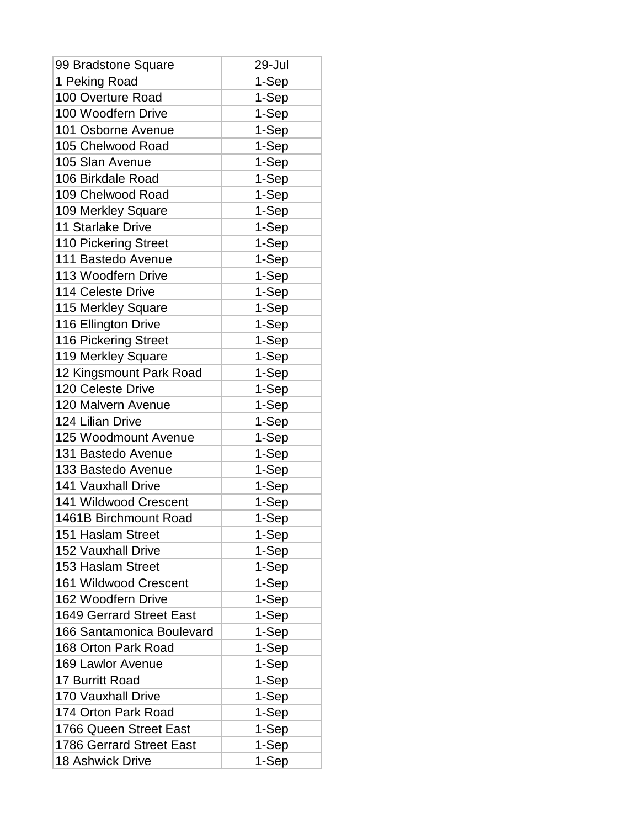| 99 Bradstone Square             | 29-Jul |
|---------------------------------|--------|
| 1 Peking Road                   | 1-Sep  |
| 100 Overture Road               | 1-Sep  |
| 100 Woodfern Drive              | 1-Sep  |
| 101 Osborne Avenue              | 1-Sep  |
| 105 Chelwood Road               | 1-Sep  |
| 105 Slan Avenue                 | 1-Sep  |
| 106 Birkdale Road               | 1-Sep  |
| 109 Chelwood Road               | 1-Sep  |
| 109 Merkley Square              | 1-Sep  |
| <b>11 Starlake Drive</b>        | 1-Sep  |
| <b>110 Pickering Street</b>     | 1-Sep  |
| 111 Bastedo Avenue              | 1-Sep  |
| 113 Woodfern Drive              | 1-Sep  |
| 114 Celeste Drive               | 1-Sep  |
| 115 Merkley Square              | 1-Sep  |
| 116 Ellington Drive             | 1-Sep  |
| 116 Pickering Street            | 1-Sep  |
| 119 Merkley Square              | 1-Sep  |
| 12 Kingsmount Park Road         | 1-Sep  |
| 120 Celeste Drive               | 1-Sep  |
| 120 Malvern Avenue              | 1-Sep  |
| 124 Lilian Drive                | 1-Sep  |
| 125 Woodmount Avenue            | 1-Sep  |
| 131 Bastedo Avenue              | 1-Sep  |
| 133 Bastedo Avenue              | 1-Sep  |
| <b>141 Vauxhall Drive</b>       | 1-Sep  |
| 141 Wildwood Crescent           | 1-Sep  |
| 1461B Birchmount Road           | 1-Sep  |
| 151 Haslam Street               | 1-Sep  |
| <b>152 Vauxhall Drive</b>       | 1-Sep  |
| 153 Haslam Street               | 1-Sep  |
| 161 Wildwood Crescent           | 1-Sep  |
| 162 Woodfern Drive              | 1-Sep  |
| <b>1649 Gerrard Street East</b> | 1-Sep  |
| 166 Santamonica Boulevard       | 1-Sep  |
| 168 Orton Park Road             | 1-Sep  |
| 169 Lawlor Avenue               | 1-Sep  |
| 17 Burritt Road                 | 1-Sep  |
| <b>170 Vauxhall Drive</b>       | 1-Sep  |
| 174 Orton Park Road             | 1-Sep  |
| 1766 Queen Street East          | 1-Sep  |
| <b>1786 Gerrard Street East</b> | 1-Sep  |
| <b>18 Ashwick Drive</b>         | 1-Sep  |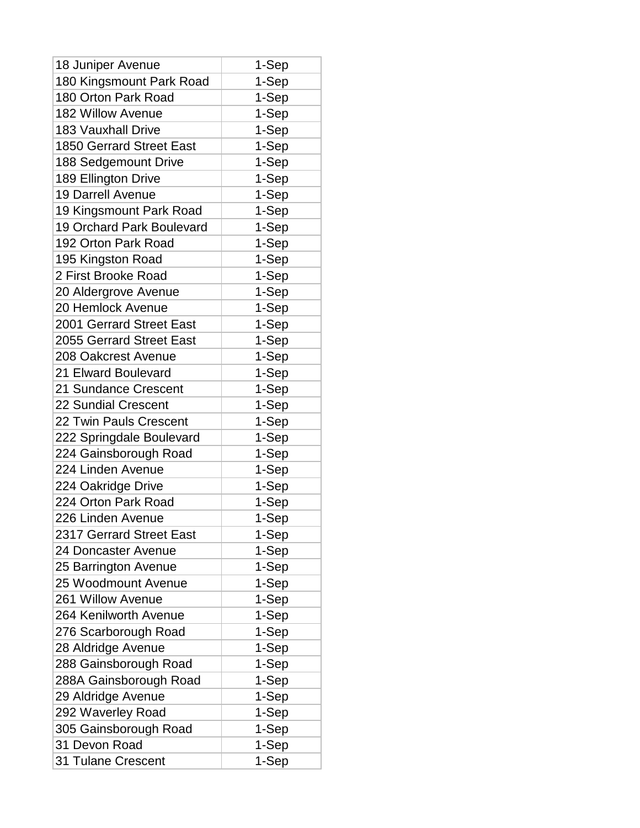| 18 Juniper Avenue                | 1-Sep |
|----------------------------------|-------|
| 180 Kingsmount Park Road         | 1-Sep |
| 180 Orton Park Road              | 1-Sep |
| 182 Willow Avenue                | 1-Sep |
| <b>183 Vauxhall Drive</b>        | 1-Sep |
| <b>1850 Gerrard Street East</b>  | 1-Sep |
| 188 Sedgemount Drive             | 1-Sep |
| 189 Ellington Drive              | 1-Sep |
| <b>19 Darrell Avenue</b>         | 1-Sep |
| 19 Kingsmount Park Road          | 1-Sep |
| <b>19 Orchard Park Boulevard</b> | 1-Sep |
| 192 Orton Park Road              | 1-Sep |
| 195 Kingston Road                | 1-Sep |
| 2 First Brooke Road              | 1-Sep |
| 20 Aldergrove Avenue             | 1-Sep |
| 20 Hemlock Avenue                | 1-Sep |
| 2001 Gerrard Street East         | 1-Sep |
| 2055 Gerrard Street East         | 1-Sep |
| 208 Oakcrest Avenue              | 1-Sep |
| 21 Elward Boulevard              | 1-Sep |
| 21 Sundance Crescent             | 1-Sep |
| 22 Sundial Crescent              | 1-Sep |
| 22 Twin Pauls Crescent           | 1-Sep |
| 222 Springdale Boulevard         | 1-Sep |
| 224 Gainsborough Road            | 1-Sep |
| 224 Linden Avenue                | 1-Sep |
| 224 Oakridge Drive               | 1-Sep |
| 224 Orton Park Road              | 1-Sep |
| 226 Linden Avenue                | 1-Sep |
| 2317 Gerrard Street East         | 1-Sep |
| 24 Doncaster Avenue              | 1-Sep |
| 25 Barrington Avenue             | 1-Sep |
| 25 Woodmount Avenue              | 1-Sep |
| 261 Willow Avenue                | 1-Sep |
| 264 Kenilworth Avenue            | 1-Sep |
| 276 Scarborough Road             | 1-Sep |
| 28 Aldridge Avenue               | 1-Sep |
| 288 Gainsborough Road            | 1-Sep |
| 288A Gainsborough Road           | 1-Sep |
| 29 Aldridge Avenue               | 1-Sep |
| 292 Waverley Road                | 1-Sep |
| 305 Gainsborough Road            | 1-Sep |
| 31 Devon Road                    | 1-Sep |
| <b>31 Tulane Crescent</b>        | 1-Sep |
|                                  |       |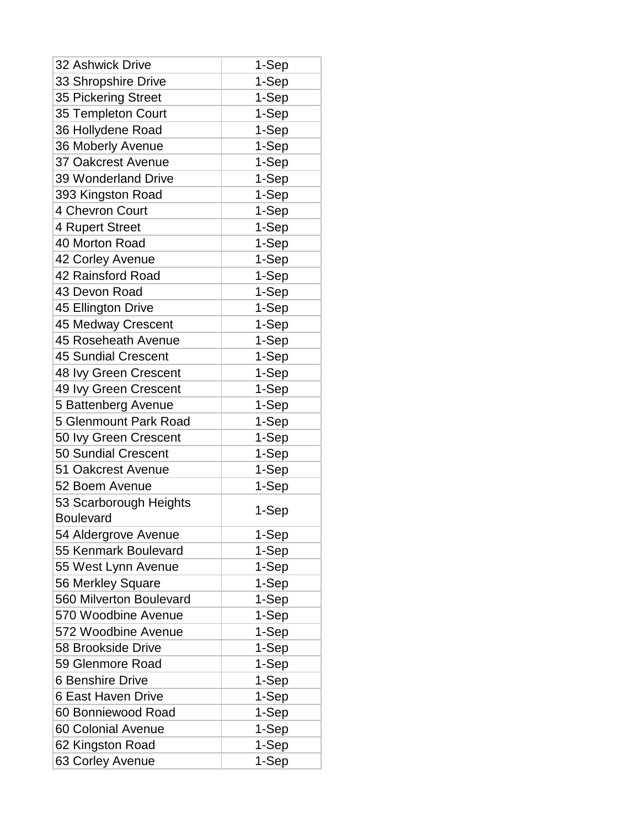| <b>32 Ashwick Drive</b>      | 1-Sep |
|------------------------------|-------|
| 33 Shropshire Drive          | 1-Sep |
| 35 Pickering Street          | 1-Sep |
| 35 Templeton Court           | 1-Sep |
| 36 Hollydene Road            | 1-Sep |
| 36 Moberly Avenue            | 1-Sep |
| <b>37 Oakcrest Avenue</b>    | 1-Sep |
| 39 Wonderland Drive          | 1-Sep |
| 393 Kingston Road            | 1-Sep |
| 4 Chevron Court              | 1-Sep |
| 4 Rupert Street              | 1-Sep |
| 40 Morton Road               | 1-Sep |
| 42 Corley Avenue             | 1-Sep |
| 42 Rainsford Road            | 1-Sep |
| 43 Devon Road                | 1-Sep |
| 45 Ellington Drive           | 1-Sep |
| 45 Medway Crescent           | 1-Sep |
| 45 Roseheath Avenue          | 1-Sep |
| <b>45 Sundial Crescent</b>   | 1-Sep |
| 48 Ivy Green Crescent        | 1-Sep |
| 49 Ivy Green Crescent        | 1-Sep |
| 5 Battenberg Avenue          | 1-Sep |
| <b>5 Glenmount Park Road</b> | 1-Sep |
| 50 Ivy Green Crescent        | 1-Sep |
| <b>50 Sundial Crescent</b>   | 1-Sep |
| 51 Oakcrest Avenue           | 1-Sep |
| 52 Boem Avenue               | 1-Sep |
| 53 Scarborough Heights       |       |
| <b>Boulevard</b>             | 1-Sep |
| 54 Aldergrove Avenue         | 1-Sep |
| 55 Kenmark Boulevard         | 1-Sep |
| 55 West Lynn Avenue          | 1-Sep |
| 56 Merkley Square            | 1-Sep |
| 560 Milverton Boulevard      | 1-Sep |
| 570 Woodbine Avenue          | 1-Sep |
| 572 Woodbine Avenue          | 1-Sep |
| 58 Brookside Drive           | 1-Sep |
| 59 Glenmore Road             | 1-Sep |
| <b>6 Benshire Drive</b>      | 1-Sep |
| 6 East Haven Drive           | 1-Sep |
| 60 Bonniewood Road           | 1-Sep |
| 60 Colonial Avenue           | 1-Sep |
| 62 Kingston Road             | 1-Sep |
| 63 Corley Avenue             | 1-Sep |
|                              |       |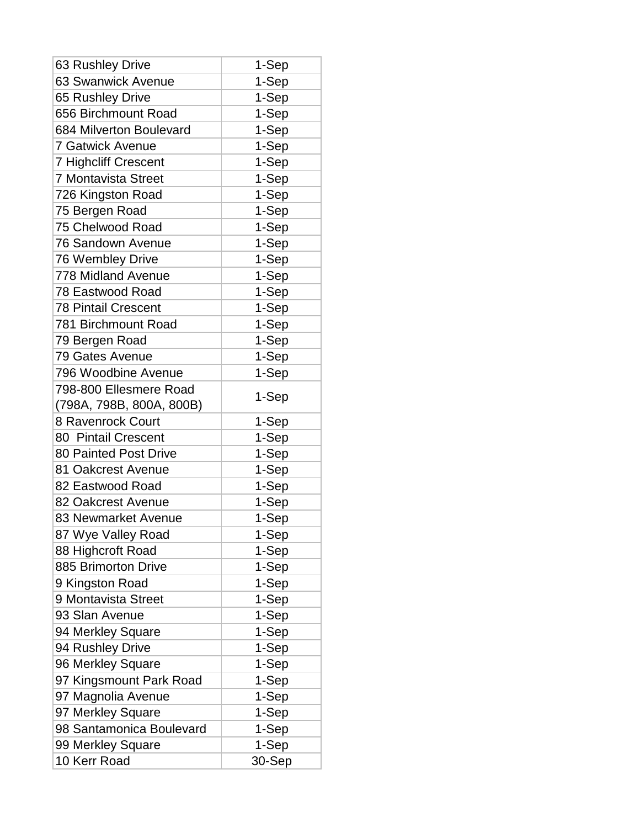| 63 Rushley Drive                                   | 1-Sep  |
|----------------------------------------------------|--------|
| 63 Swanwick Avenue                                 | 1-Sep  |
| 65 Rushley Drive                                   | 1-Sep  |
| 656 Birchmount Road                                | 1-Sep  |
| 684 Milverton Boulevard                            | 1-Sep  |
| <b>7 Gatwick Avenue</b>                            | 1-Sep  |
| <b>7 Highcliff Crescent</b>                        | 1-Sep  |
| <b>7 Montavista Street</b>                         | 1-Sep  |
| 726 Kingston Road                                  | 1-Sep  |
| 75 Bergen Road                                     | 1-Sep  |
| 75 Chelwood Road                                   | 1-Sep  |
| <b>76 Sandown Avenue</b>                           | 1-Sep  |
| 76 Wembley Drive                                   | 1-Sep  |
| <b>778 Midland Avenue</b>                          | 1-Sep  |
| 78 Eastwood Road                                   | 1-Sep  |
| <b>78 Pintail Crescent</b>                         | 1-Sep  |
| 781 Birchmount Road                                | 1-Sep  |
| 79 Bergen Road                                     | 1-Sep  |
| 79 Gates Avenue                                    | 1-Sep  |
| 796 Woodbine Avenue                                | 1-Sep  |
| 798-800 Ellesmere Road<br>(798A, 798B, 800A, 800B) | 1-Sep  |
| 8 Ravenrock Court                                  | 1-Sep  |
| 80 Pintail Crescent                                | 1-Sep  |
| 80 Painted Post Drive                              | 1-Sep  |
| 81 Oakcrest Avenue                                 | 1-Sep  |
| 82 Eastwood Road                                   | 1-Sep  |
| 82 Oakcrest Avenue                                 | 1-Sep  |
| 83 Newmarket Avenue                                | 1-Sep  |
| 87 Wye Valley Road                                 | 1-Sep  |
| 88 Highcroft Road                                  | 1-Sep  |
| 885 Brimorton Drive                                | 1-Sep  |
| 9 Kingston Road                                    | 1-Sep  |
| 9 Montavista Street                                | 1-Sep  |
| 93 Slan Avenue                                     | 1-Sep  |
| 94 Merkley Square                                  | 1-Sep  |
| 94 Rushley Drive                                   | 1-Sep  |
| 96 Merkley Square                                  | 1-Sep  |
| 97 Kingsmount Park Road                            | 1-Sep  |
| 97 Magnolia Avenue                                 | 1-Sep  |
| 97 Merkley Square                                  | 1-Sep  |
| 98 Santamonica Boulevard                           | 1-Sep  |
| 99 Merkley Square                                  | 1-Sep  |
| 10 Kerr Road                                       | 30-Sep |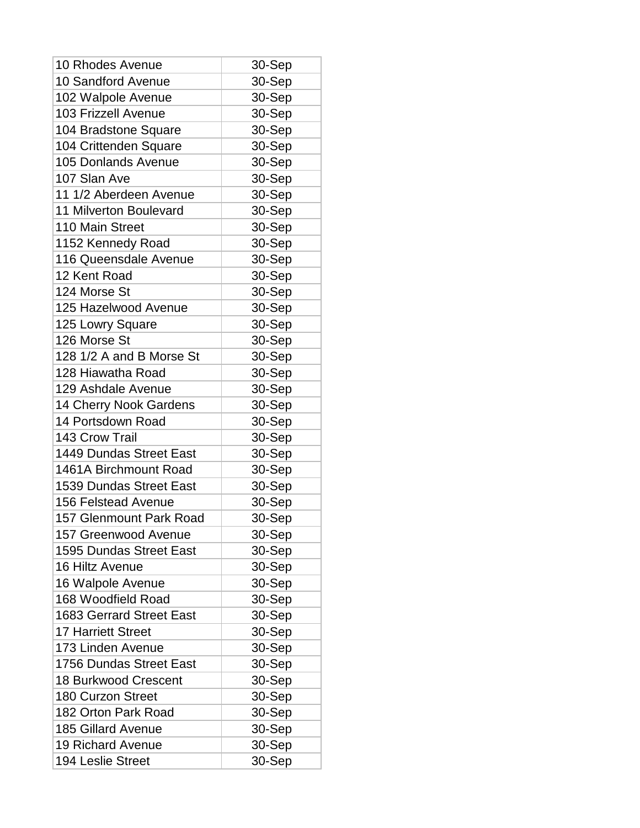| 10 Rhodes Avenue                | 30-Sep |
|---------------------------------|--------|
| <b>10 Sandford Avenue</b>       | 30-Sep |
| 102 Walpole Avenue              | 30-Sep |
| <b>103 Frizzell Avenue</b>      | 30-Sep |
| 104 Bradstone Square            | 30-Sep |
| 104 Crittenden Square           | 30-Sep |
| <b>105 Donlands Avenue</b>      | 30-Sep |
| 107 Slan Ave                    | 30-Sep |
| 11 1/2 Aberdeen Avenue          | 30-Sep |
| 11 Milverton Boulevard          | 30-Sep |
| 110 Main Street                 | 30-Sep |
| 1152 Kennedy Road               | 30-Sep |
| 116 Queensdale Avenue           | 30-Sep |
| 12 Kent Road                    | 30-Sep |
| 124 Morse St                    | 30-Sep |
| 125 Hazelwood Avenue            | 30-Sep |
| 125 Lowry Square                | 30-Sep |
| 126 Morse St                    | 30-Sep |
| 128 1/2 A and B Morse St        | 30-Sep |
| 128 Hiawatha Road               | 30-Sep |
| 129 Ashdale Avenue              | 30-Sep |
| 14 Cherry Nook Gardens          | 30-Sep |
| 14 Portsdown Road               | 30-Sep |
| 143 Crow Trail                  | 30-Sep |
| 1449 Dundas Street East         | 30-Sep |
| 1461A Birchmount Road           | 30-Sep |
| <b>1539 Dundas Street East</b>  | 30-Sep |
| <b>156 Felstead Avenue</b>      | 30-Sep |
| <b>157 Glenmount Park Road</b>  | 30-Sep |
| 157 Greenwood Avenue            | 30-Sep |
| <b>1595 Dundas Street East</b>  | 30-Sep |
| 16 Hiltz Avenue                 | 30-Sep |
| 16 Walpole Avenue               | 30-Sep |
| 168 Woodfield Road              | 30-Sep |
| <b>1683 Gerrard Street East</b> | 30-Sep |
| <b>17 Harriett Street</b>       | 30-Sep |
| 173 Linden Avenue               | 30-Sep |
| 1756 Dundas Street East         | 30-Sep |
| <b>18 Burkwood Crescent</b>     | 30-Sep |
| 180 Curzon Street               | 30-Sep |
| 182 Orton Park Road             | 30-Sep |
| <b>185 Gillard Avenue</b>       | 30-Sep |
| <b>19 Richard Avenue</b>        | 30-Sep |
| 194 Leslie Street               | 30-Sep |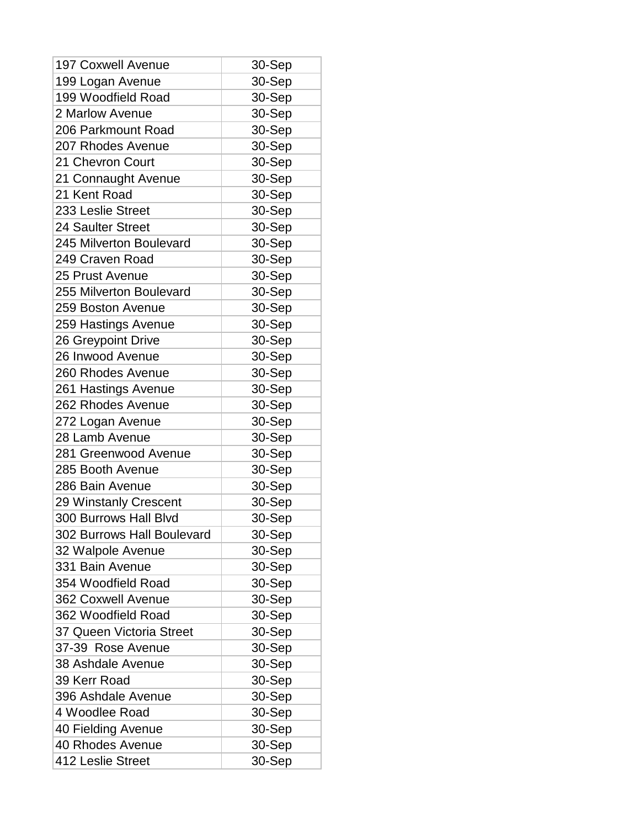| <b>197 Coxwell Avenue</b>  | 30-Sep |
|----------------------------|--------|
| 199 Logan Avenue           | 30-Sep |
| 199 Woodfield Road         | 30-Sep |
| 2 Marlow Avenue            | 30-Sep |
| 206 Parkmount Road         | 30-Sep |
| 207 Rhodes Avenue          | 30-Sep |
| 21 Chevron Court           | 30-Sep |
| 21 Connaught Avenue        | 30-Sep |
| 21 Kent Road               | 30-Sep |
| 233 Leslie Street          | 30-Sep |
| 24 Saulter Street          | 30-Sep |
| 245 Milverton Boulevard    | 30-Sep |
| 249 Craven Road            | 30-Sep |
| 25 Prust Avenue            | 30-Sep |
| 255 Milverton Boulevard    | 30-Sep |
| 259 Boston Avenue          | 30-Sep |
| 259 Hastings Avenue        | 30-Sep |
| 26 Greypoint Drive         | 30-Sep |
| 26 Inwood Avenue           | 30-Sep |
| 260 Rhodes Avenue          | 30-Sep |
| 261 Hastings Avenue        | 30-Sep |
| 262 Rhodes Avenue          | 30-Sep |
| 272 Logan Avenue           | 30-Sep |
| 28 Lamb Avenue             | 30-Sep |
| 281 Greenwood Avenue       | 30-Sep |
| 285 Booth Avenue           | 30-Sep |
| 286 Bain Avenue            | 30-Sep |
| 29 Winstanly Crescent      | 30-Sep |
| 300 Burrows Hall Blvd      | 30-Sep |
| 302 Burrows Hall Boulevard | 30-Sep |
| 32 Walpole Avenue          | 30-Sep |
| 331 Bain Avenue            | 30-Sep |
| 354 Woodfield Road         | 30-Sep |
| 362 Coxwell Avenue         | 30-Sep |
| 362 Woodfield Road         | 30-Sep |
| 37 Queen Victoria Street   | 30-Sep |
| 37-39 Rose Avenue          | 30-Sep |
| 38 Ashdale Avenue          | 30-Sep |
| 39 Kerr Road               | 30-Sep |
| 396 Ashdale Avenue         | 30-Sep |
| 4 Woodlee Road             | 30-Sep |
| 40 Fielding Avenue         | 30-Sep |
| 40 Rhodes Avenue           | 30-Sep |
| 412 Leslie Street          | 30-Sep |